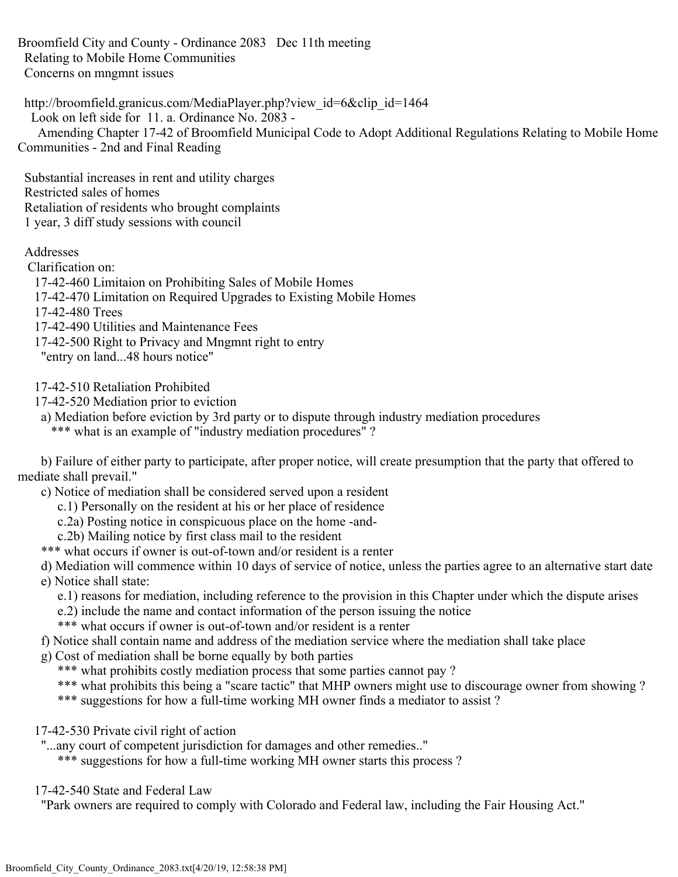Broomfield City and County - Ordinance 2083 Dec 11th meeting Relating to Mobile Home Communities Concerns on mngmnt issues

http://broomfield.granicus.com/MediaPlayer.php?view\_id=6&clip\_id=1464 Look on left side for 11. a. Ordinance No. 2083 - Amending Chapter 17-42 of Broomfield Municipal Code to Adopt Additional Regulations Relating to Mobile Home Communities - 2nd and Final Reading

 Substantial increases in rent and utility charges Restricted sales of homes Retaliation of residents who brought complaints 1 year, 3 diff study sessions with council

Addresses

Clarification on:

17-42-460 Limitaion on Prohibiting Sales of Mobile Homes

17-42-470 Limitation on Required Upgrades to Existing Mobile Homes

17-42-480 Trees

17-42-490 Utilities and Maintenance Fees

17-42-500 Right to Privacy and Mngmnt right to entry

"entry on land...48 hours notice"

17-42-510 Retaliation Prohibited

- 17-42-520 Mediation prior to eviction
- a) Mediation before eviction by 3rd party or to dispute through industry mediation procedures

\*\*\* what is an example of "industry mediation procedures" ?

 b) Failure of either party to participate, after proper notice, will create presumption that the party that offered to mediate shall prevail."

c) Notice of mediation shall be considered served upon a resident

- c.1) Personally on the resident at his or her place of residence
- c.2a) Posting notice in conspicuous place on the home -and-
- c.2b) Mailing notice by first class mail to the resident

\*\*\* what occurs if owner is out-of-town and/or resident is a renter

 d) Mediation will commence within 10 days of service of notice, unless the parties agree to an alternative start date e) Notice shall state:

- e.1) reasons for mediation, including reference to the provision in this Chapter under which the dispute arises
- e.2) include the name and contact information of the person issuing the notice
- \*\*\* what occurs if owner is out-of-town and/or resident is a renter
- f) Notice shall contain name and address of the mediation service where the mediation shall take place
- g) Cost of mediation shall be borne equally by both parties
	- \*\*\* what prohibits costly mediation process that some parties cannot pay?
	- \*\*\* what prohibits this being a "scare tactic" that MHP owners might use to discourage owner from showing ?
	- \*\*\* suggestions for how a full-time working MH owner finds a mediator to assist ?
- 17-42-530 Private civil right of action
- "...any court of competent jurisdiction for damages and other remedies.."
	- \*\*\* suggestions for how a full-time working MH owner starts this process ?
- 17-42-540 State and Federal Law

"Park owners are required to comply with Colorado and Federal law, including the Fair Housing Act."